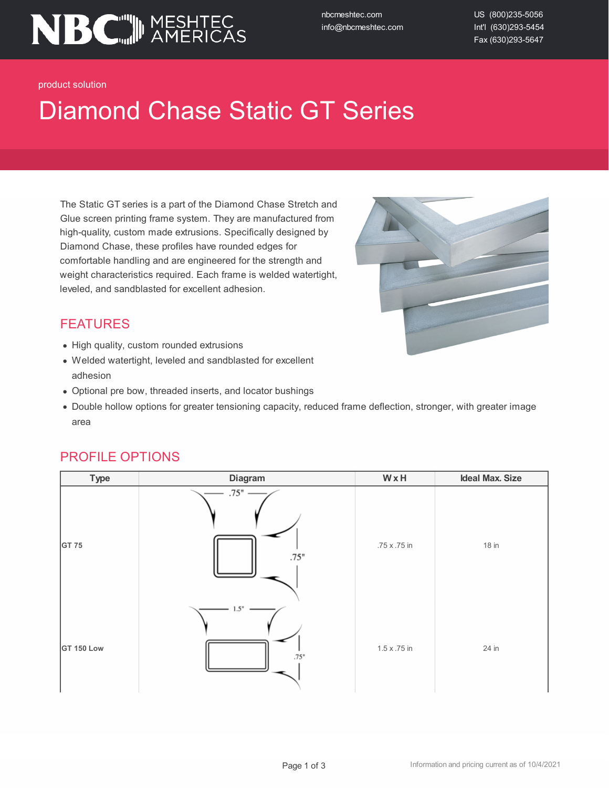

nbcmeshtec.com info@nbcmeshtec.com US (800)235-5056 Int'l (630)293-5454 Fax (630)293-5647

product solution

## Diamond Chase Static GT Series

The Static GT series is a part of the Diamond Chase Stretch and Glue screen printing frame system. They are manufactured from high-quality, custom made extrusions. Specifically designed by Diamond Chase, these profiles have rounded edges for comfortable handling and are engineered for the strength and weight characteristics required. Each frame is welded watertight, leveled, and sandblasted for excellent adhesion.



#### FEATURES

- High quality, custom rounded extrusions
- Welded watertight, leveled and sandblasted for excellent adhesion
- Optional pre bow, threaded inserts, and locator bushings
- Double hollow options for greater tensioning capacity, reduced frame deflection, stronger, with greater image area

# **Type Diagram W x H Ideal Max. Size**  $.75"$ **GT** 75 **1**8 in **18 in 18 in 18 in 18 in 18 in 18 in**  $.75"$  $15'$ **GT** 150 Low 1.5 x .75 in 24 in 24 in

#### PROFILE OPTIONS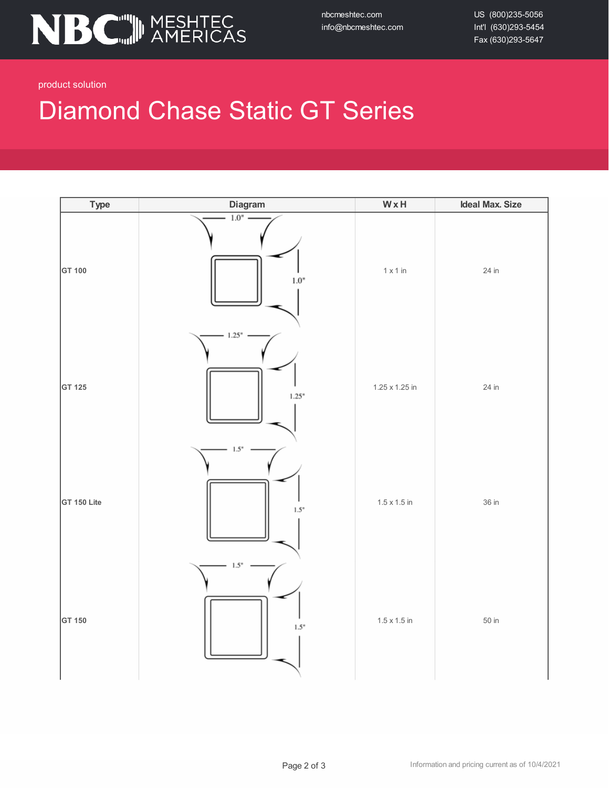

nbcmeshtec.com info@nbcmeshtec.com US (800)235-5056 Int'l (630)293-5454 Fax (630)293-5647

product solution

### Diamond Chase Static GT Series

| <b>Type</b> | Diagram           | $W \times H$        | <b>Ideal Max. Size</b> |
|-------------|-------------------|---------------------|------------------------|
| GT 100      | 1.0"<br>$1.0"$    | $1 \times 1$ in     | 24 in                  |
| GT 125      | $-1.25"$<br>1.25" | 1.25 x 1.25 in      | 24 in                  |
| GT 150 Lite | 1.5"<br>1.5"      | $1.5 \times 1.5$ in | 36 in                  |
| GT 150      | 1.5"<br>1.5"      | $1.5 \times 1.5$ in | 50 in                  |